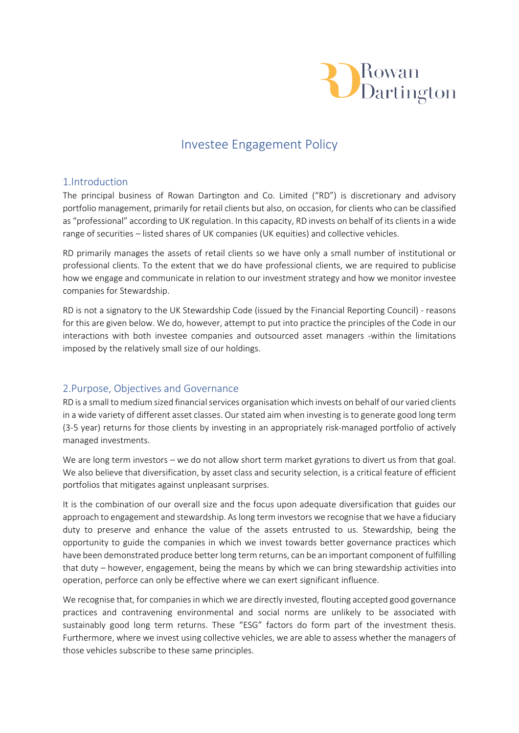

# Investee Engagement Policy

#### 1.Introduction

The principal business of Rowan Dartington and Co. Limited ("RD") is discretionary and advisory portfolio management, primarily for retail clients but also, on occasion, for clients who can be classified as "professional" according to UK regulation. In this capacity, RD invests on behalf of its clients in a wide range of securities – listed shares of UK companies (UK equities) and collective vehicles.

RD primarily manages the assets of retail clients so we have only a small number of institutional or professional clients. To the extent that we do have professional clients, we are required to publicise how we engage and communicate in relation to our investment strategy and how we monitor investee companies for Stewardship.

RD is not a signatory to the UK Stewardship Code (issued by the Financial Reporting Council) - reasons for this are given below. We do, however, attempt to put into practice the principles of the Code in our interactions with both investee companies and outsourced asset managers -within the limitations imposed by the relatively small size of our holdings.

#### 2.Purpose, Objectives and Governance

RD is a small to medium sized financial services organisation which invests on behalf of our varied clients in a wide variety of different asset classes. Our stated aim when investing is to generate good long term (3-5 year) returns for those clients by investing in an appropriately risk-managed portfolio of actively managed investments.

We are long term investors – we do not allow short term market gyrations to divert us from that goal. We also believe that diversification, by asset class and security selection, is a critical feature of efficient portfolios that mitigates against unpleasant surprises.

It is the combination of our overall size and the focus upon adequate diversification that guides our approach to engagement and stewardship. As long term investors we recognise that we have a fiduciary duty to preserve and enhance the value of the assets entrusted to us. Stewardship, being the opportunity to guide the companies in which we invest towards better governance practices which have been demonstrated produce better long term returns, can be an important component of fulfilling that duty – however, engagement, being the means by which we can bring stewardship activities into operation, perforce can only be effective where we can exert significant influence.

We recognise that, for companies in which we are directly invested, flouting accepted good governance practices and contravening environmental and social norms are unlikely to be associated with sustainably good long term returns. These "ESG" factors do form part of the investment thesis. Furthermore, where we invest using collective vehicles, we are able to assess whether the managers of those vehicles subscribe to these same principles.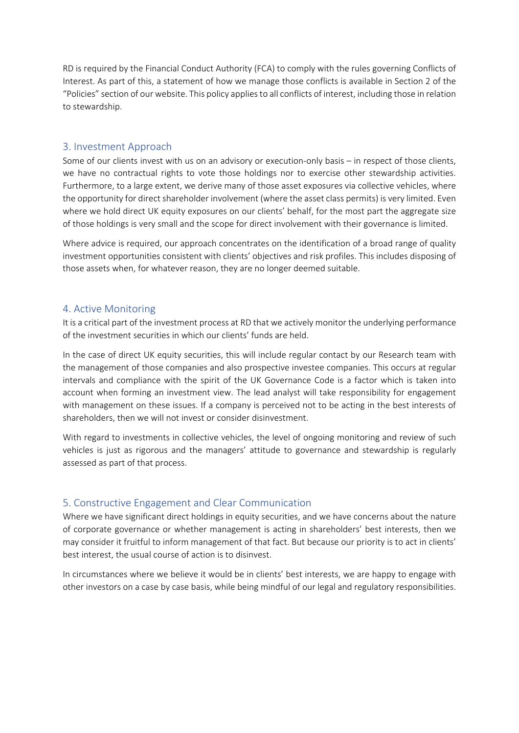RD is required by the Financial Conduct Authority (FCA) to comply with the rules governing Conflicts of Interest. As part of this, a statement of how we manage those conflicts is available in Section 2 of the "Policies" section of our website. This policy applies to all conflicts of interest, including those in relation to stewardship.

#### 3. Investment Approach

Some of our clients invest with us on an advisory or execution-only basis – in respect of those clients, we have no contractual rights to vote those holdings nor to exercise other stewardship activities. Furthermore, to a large extent, we derive many of those asset exposures via collective vehicles, where the opportunity for direct shareholder involvement (where the asset class permits) is very limited. Even where we hold direct UK equity exposures on our clients' behalf, for the most part the aggregate size of those holdings is very small and the scope for direct involvement with their governance is limited.

Where advice is required, our approach concentrates on the identification of a broad range of quality investment opportunities consistent with clients' objectives and risk profiles. This includes disposing of those assets when, for whatever reason, they are no longer deemed suitable.

#### 4. Active Monitoring

It is a critical part of the investment process at RD that we actively monitor the underlying performance of the investment securities in which our clients' funds are held.

In the case of direct UK equity securities, this will include regular contact by our Research team with the management of those companies and also prospective investee companies. This occurs at regular intervals and compliance with the spirit of the UK Governance Code is a factor which is taken into account when forming an investment view. The lead analyst will take responsibility for engagement with management on these issues. If a company is perceived not to be acting in the best interests of shareholders, then we will not invest or consider disinvestment.

With regard to investments in collective vehicles, the level of ongoing monitoring and review of such vehicles is just as rigorous and the managers' attitude to governance and stewardship is regularly assessed as part of that process.

### 5. Constructive Engagement and Clear Communication

Where we have significant direct holdings in equity securities, and we have concerns about the nature of corporate governance or whether management is acting in shareholders' best interests, then we may consider it fruitful to inform management of that fact. But because our priority is to act in clients' best interest, the usual course of action is to disinvest.

In circumstances where we believe it would be in clients' best interests, we are happy to engage with other investors on a case by case basis, while being mindful of our legal and regulatory responsibilities.